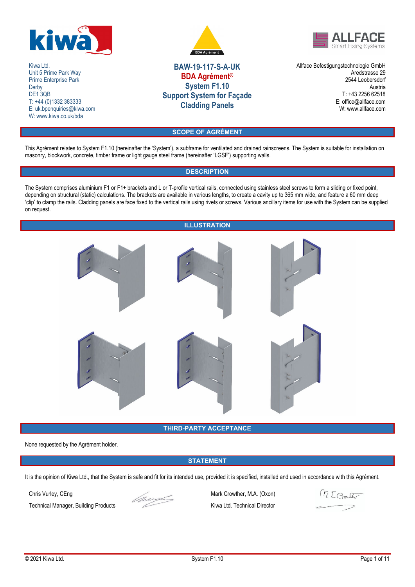

Kiwa Ltd. Unit 5 Prime Park Way Prime Enterprise Park Derby DE<sub>1</sub> 3QB T: +44 (0)1332 383333 E: uk.bpenquiries@kiwa.com W: www.kiwa.co.uk/bda





# **BAW-19-117-S-A-UK BDA Agrément® System F1.10 Support System for Façade Cladding Panels**

Allface Befestigungstechnologie GmbH Aredstrasse 29 2544 Leobersdorf Austria T: +43 2256 62518 E: office@allface.com W: www.allface.com

# **SCOPE OF AGRÉMENT**

This Agrément relates to System F1.10 (hereinafter the 'System'), a subframe for ventilated and drained rainscreens. The System is suitable for installation on masonry, blockwork, concrete, timber frame or light gauge steel frame (hereinafter 'LGSF') supporting walls.

## **DESCRIPTION**

The System comprises aluminium F1 or F1+ brackets and L or T-profile vertical rails, connected using stainless steel screws to form a sliding or fixed point, depending on structural (static) calculations. The brackets are available in various lengths, to create a cavity up to 365 mm wide, and feature a 60 mm deep 'clip' to clamp the rails. Cladding panels are face fixed to the vertical rails using rivets or screws. Various ancillary items for use with the System can be supplied on request.

## **ILLUSTRATION**



## **THIRD-PARTY ACCEPTANCE**

None requested by the Agrément holder.

## **STATEMENT**

It is the opinion of Kiwa Ltd., that the System is safe and fit for its intended use, provided it is specified, installed and used in accordance with this Agrément.

Technical Manager, Building Products Kiwa Ltd. Technical Director



Chris Vurley, CEng Mark Crowther, M.A. (Oxon)

MEConther  $\overline{\phantom{a}}$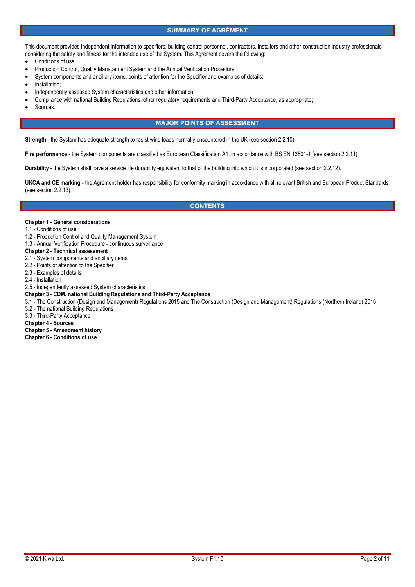## **SUMMARY OF AGRÉMENT**

This document provides independent information to specifiers, building control personnel, contractors, installers and other construction industry professionals considering the safety and fitness for the intended use of the System. This Agrément covers the following:

- Conditions of use;
- Production Control, Quality Management System and the Annual Verification Procedure;
- System components and ancillary items, points of attention for the Specifier and examples of details;
- Installation;
- Independently assessed System characteristics and other information;
- Compliance with national Building Regulations, other regulatory requirements and Third-Party Acceptance, as appropriate;
- Sources.

## **MAJOR POINTS OF ASSESSMENT**

**Strength** - the System has adequate strength to resist wind loads normally encountered in the UK (see section 2.2.10).

Fire performance - the System components are classified as European Classification A1, in accordance with BS EN 13501-1 (see section 2.2.11).

**Durability** - the System shall have a service life durability equivalent to that of the building into which it is incorporated (see section 2.2.12).

**UKCA and CE marking** - the Agrément holder has responsibility for conformity marking in accordance with all relevant British and European Product Standards (see section 2.2.13).

## **CONTENTS**

#### **Chapter 1 - General considerations**

- 1.1 Conditions of use
- 1.2 Production Control and Quality Management System
- 1.3 Annual Verification Procedure continuous surveillance

## **Chapter 2 - Technical assessment**

- 2.1 System components and ancillary items
- 2.2 Points of attention to the Specifier
- 2.3 Examples of details
- 2.4 Installation
- 2.5 Independently assessed System characteristics

#### **Chapter 3 - CDM, national Building Regulations and Third-Party Acceptance**

3.1 - The Construction (Design and Management) Regulations 2015 and The Construction (Design and Management) Regulations (Northern Ireland) 2016

- 3.2 The national Building Regulations
- 3.3 Third-Party Acceptance
- **Chapter 4 Sources**
- **Chapter 5 Amendment history**
- **Chapter 6 Conditions of use**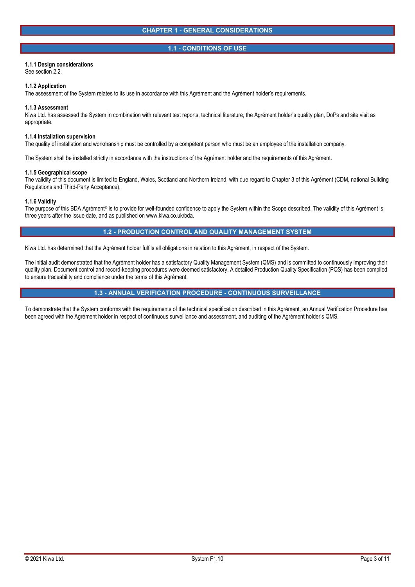### **1.1 - CONDITIONS OF USE**

### **1.1.1 Design considerations**

See section 2.2.

#### **1.1.2 Application**

The assessment of the System relates to its use in accordance with this Agrément and the Agrément holder's requirements.

#### **1.1.3 Assessment**

Kiwa Ltd. has assessed the System in combination with relevant test reports, technical literature, the Agrément holder's quality plan, DoPs and site visit as appropriate.

#### **1.1.4 Installation supervision**

The quality of installation and workmanship must be controlled by a competent person who must be an employee of the installation company.

The System shall be installed strictly in accordance with the instructions of the Agrément holder and the requirements of this Agrément.

#### **1.1.5 Geographical scope**

The validity of this document is limited to England, Wales, Scotland and Northern Ireland, with due regard to Chapter 3 of this Agrément (CDM, national Building Regulations and Third-Party Acceptance).

#### **1.1.6 Validity**

The purpose of this BDA Agrément® is to provide for well-founded confidence to apply the System within the Scope described. The validity of this Agrément is three years after the issue date, and as published on www.kiwa.co.uk/bda.

## **1.2 - PRODUCTION CONTROL AND QUALITY MANAGEMENT SYSTEM**

Kiwa Ltd. has determined that the Agrément holder fulfils all obligations in relation to this Agrément, in respect of the System.

The initial audit demonstrated that the Agrément holder has a satisfactory Quality Management System (QMS) and is committed to continuously improving their quality plan. Document control and record-keeping procedures were deemed satisfactory. A detailed Production Quality Specification (PQS) has been compiled to ensure traceability and compliance under the terms of this Agrément.

## **1.3 - ANNUAL VERIFICATION PROCEDURE - CONTINUOUS SURVEILLANCE**

To demonstrate that the System conforms with the requirements of the technical specification described in this Agrément, an Annual Verification Procedure has been agreed with the Agrément holder in respect of continuous surveillance and assessment, and auditing of the Agrément holder's QMS.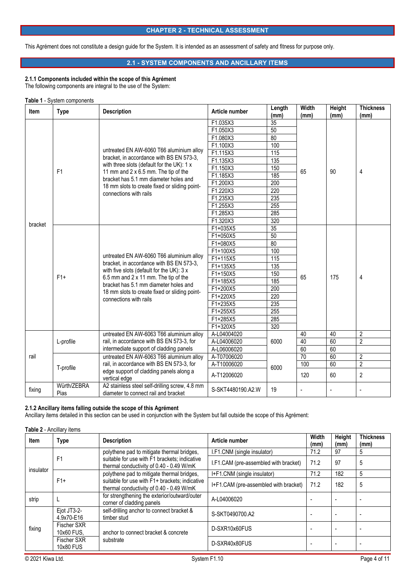## **CHAPTER 2 - TECHNICAL ASSESSMENT**

This Agrément does not constitute a design guide for the System. It is intended as an assessment of safety and fitness for purpose only.

## **2.1 - SYSTEM COMPONENTS AND ANCILLARY ITEMS**

## **2.1.1 Components included within the scope of this Agrément**

The following components are integral to the use of the System:

#### **Table 1** - System components

| <b>Item</b> | <b>Type</b>         | <b>Description</b>                                                                                                                                                                                                                                                                                   | Article number    | Length<br>(mm)   | Width<br>(mm) | Height<br>(mm) | <b>Thickness</b><br>(mm) |
|-------------|---------------------|------------------------------------------------------------------------------------------------------------------------------------------------------------------------------------------------------------------------------------------------------------------------------------------------------|-------------------|------------------|---------------|----------------|--------------------------|
|             |                     |                                                                                                                                                                                                                                                                                                      | F1.035X3          | 35               |               |                |                          |
|             |                     |                                                                                                                                                                                                                                                                                                      | F1.050X3          | 50               |               |                |                          |
|             |                     |                                                                                                                                                                                                                                                                                                      | F1.080X3          | 80               |               |                |                          |
|             |                     |                                                                                                                                                                                                                                                                                                      | F1.100X3          | 100              |               |                |                          |
|             |                     | untreated EN AW-6060 T66 aluminium alloy                                                                                                                                                                                                                                                             | F1.115X3          | 115              |               |                |                          |
|             |                     | bracket, in accordance with BS EN 573-3,                                                                                                                                                                                                                                                             | F1.135X3          | $\overline{135}$ |               |                |                          |
|             | F <sub>1</sub>      | with three slots (default for the UK): 1 x                                                                                                                                                                                                                                                           | F1.150X3          | 150              | 65            | 90             |                          |
|             |                     | 11 mm and $2 \times 6.5$ mm. The tip of the                                                                                                                                                                                                                                                          | F1.185X3          | 185              |               |                | 4                        |
|             |                     | bracket has 5.1 mm diameter holes and<br>18 mm slots to create fixed or sliding point-                                                                                                                                                                                                               | F1.200X3          | 200              |               |                |                          |
|             |                     | connections with rails                                                                                                                                                                                                                                                                               | F1.220X3          | 220              |               |                |                          |
|             |                     |                                                                                                                                                                                                                                                                                                      | F1.235X3          | 235              |               |                |                          |
|             |                     |                                                                                                                                                                                                                                                                                                      | F1.255X3          | 255              |               |                |                          |
|             |                     |                                                                                                                                                                                                                                                                                                      | F1.285X3          | 285              |               |                |                          |
|             |                     |                                                                                                                                                                                                                                                                                                      | F1.320X3          | 320              |               |                |                          |
| bracket     | $F1+$               | untreated EN AW-6060 T66 aluminium alloy<br>bracket, in accordance with BS EN 573-3,<br>with five slots (default for the UK): 3 x<br>6.5 mm and $2 \times 11$ mm. The tip of the<br>bracket has 5.1 mm diameter holes and<br>18 mm slots to create fixed or sliding point-<br>connections with rails | F1+035X5          | 35               |               | 175            | 4                        |
|             |                     |                                                                                                                                                                                                                                                                                                      | F1+050X5          | 50               |               |                |                          |
|             |                     |                                                                                                                                                                                                                                                                                                      | F1+080X5          | 80               | 65            |                |                          |
|             |                     |                                                                                                                                                                                                                                                                                                      | F1+100X5          | 100              |               |                |                          |
|             |                     |                                                                                                                                                                                                                                                                                                      | F1+115X5          | 115              |               |                |                          |
|             |                     |                                                                                                                                                                                                                                                                                                      | F1+135X5          | $\overline{135}$ |               |                |                          |
|             |                     |                                                                                                                                                                                                                                                                                                      | F1+150X5          | 150              |               |                |                          |
|             |                     |                                                                                                                                                                                                                                                                                                      | F1+185X5          | 185              |               |                |                          |
|             |                     |                                                                                                                                                                                                                                                                                                      | F1+200X5          | 200              |               |                |                          |
|             |                     |                                                                                                                                                                                                                                                                                                      | F1+220X5          | 220              |               |                |                          |
|             |                     |                                                                                                                                                                                                                                                                                                      | F1+235X5          | 235              |               |                |                          |
|             |                     |                                                                                                                                                                                                                                                                                                      | F1+255X5          | 255              |               |                |                          |
|             |                     |                                                                                                                                                                                                                                                                                                      | F1+285X5          | 285              |               |                |                          |
|             |                     |                                                                                                                                                                                                                                                                                                      | F1+320X5          | 320              |               |                |                          |
|             |                     | untreated EN AW-6063 T66 aluminium alloy                                                                                                                                                                                                                                                             | A-L04004020       | 40<br>40<br>6000 |               | 40             | $\overline{2}$           |
| rail        | L-profile           | rail, in accordance with BS EN 573-3, for                                                                                                                                                                                                                                                            | A-L04006020       |                  |               | 60             | $\overline{2}$           |
|             |                     | intermediate support of cladding panels                                                                                                                                                                                                                                                              | A-L06006020       |                  | 60            | 60             |                          |
|             |                     | untreated EN AW-6063 T66 aluminium alloy                                                                                                                                                                                                                                                             | A-T07006020       | 70               |               | 60             | 2                        |
|             | T-profile           | rail, in accordance with BS EN 573-3, for                                                                                                                                                                                                                                                            | A-T10006020       | 6000             | 100           | 60             | $\overline{2}$           |
|             |                     | edge support of cladding panels along a<br>vertical edge                                                                                                                                                                                                                                             | A-T12006020       |                  | 120           | 60             | $\overline{2}$           |
| fixing      | Würth/ZEBRA<br>Pias | A2 stainless steel self-drilling screw, 4.8 mm<br>diameter to connect rail and bracket                                                                                                                                                                                                               | S-SKT4480190.A2.W | 19               |               |                |                          |

## **2.1.2 Ancillary items falling outside the scope of this Agrément**

Ancillary items detailed in this section can be used in conjunction with the System but fall outside the scope of this Agrément:

|  |  | <b>Table 2 - Ancillary items</b> |  |
|--|--|----------------------------------|--|
|--|--|----------------------------------|--|

| Item      | Type                      | <b>Description</b>                                                                                                                      | Article number                        | Width<br>(mm) | Height<br>(mm) | <b>Thickness</b><br>(mm) |
|-----------|---------------------------|-----------------------------------------------------------------------------------------------------------------------------------------|---------------------------------------|---------------|----------------|--------------------------|
|           |                           | polythene pad to mitigate thermal bridges,<br>suitable for use with F1 brackets; indicative<br>thermal conductivity of 0.40 - 0.49 W/mK | I.F1.CNM (single insulator)           | 71.2          | 97             | 5                        |
|           | F <sub>1</sub>            |                                                                                                                                         | I.F1.CAM (pre-assembled with bracket) | 71.2          | 97             | 5                        |
| insulator |                           | polythene pad to mitigate thermal bridges,                                                                                              | I+F1.CNM (single insulator)           | 71.2          | 182            | 5                        |
|           | $F1+$                     | suitable for use with F1+ brackets; indicative<br>thermal conductivity of 0.40 - 0.49 W/mK                                              | I+F1.CAM (pre-assembled with bracket) | 71.2          | 182            | 5                        |
| strip     |                           | for strengthening the exterior/outward/outer<br>corner of cladding panels                                                               | A-L04006020                           |               |                |                          |
|           | Ejot JT3-2-<br>4.9x70-E16 | self-drilling anchor to connect bracket &<br>timber stud                                                                                | S-SKT0490700.A2                       |               |                |                          |
| fixing    | Fischer SXR<br>10x60 FUS. | anchor to connect bracket & concrete                                                                                                    | D-SXR10x60FUS                         |               |                |                          |
|           | Fischer SXR<br>10x80 FUS  | substrate                                                                                                                               | D-SXR40x80FUS                         |               |                |                          |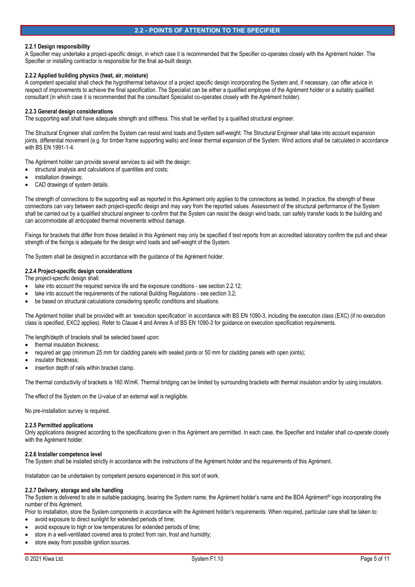## **2.2 - POINTS OF ATTENTION TO THE SPECIFIER**

#### **2.2.1 Design responsibility**

A Specifier may undertake a project-specific design, in which case it is recommended that the Specifier co-operates closely with the Agrément holder. The Specifier or installing contractor is responsible for the final as-built design.

#### **2.2.2 Applied building physics (heat, air, moisture)**

A competent specialist shall check the hygrothermal behaviour of a project specific design incorporating the System and, if necessary, can offer advice in respect of improvements to achieve the final specification. The Specialist can be either a qualified employee of the Agrément holder or a suitably qualified consultant (in which case it is recommended that the consultant Specialist co-operates closely with the Agrément holder).

#### **2.2.3 General design considerations**

The supporting wall shall have adequate strength and stiffness. This shall be verified by a qualified structural engineer.

The Structural Engineer shall confirm the System can resist wind loads and System self-weight. The Structural Engineer shall take into account expansion joints, differential movement (e.g. for timber frame supporting walls) and linear thermal expansion of the System. Wind actions shall be calculated in accordance with BS EN 1991-1-4.

The Agrément holder can provide several services to aid with the design:

- structural analysis and calculations of quantities and costs;
- installation drawings;
- CAD drawings of system details.

The strength of connections to the supporting wall as reported in this Agrément only applies to the connections as tested. In practice, the strength of these connections can vary between each project-specific design and may vary from the reported values. Assessment of the structural performance of the System shall be carried out by a qualified structural engineer to confirm that the System can resist the design wind loads, can safely transfer loads to the building and can accommodate all anticipated thermal movements without damage.

Fixings for brackets that differ from those detailed in this Agrément may only be specified if test reports from an accredited laboratory confirm the pull and shear strength of the fixings is adequate for the design wind loads and self-weight of the System.

The System shall be designed in accordance with the guidance of the Agrément holder.

## **2.2.4 Project-specific design considerations**

The project-specific design shall:

- take into account the required service life and the exposure conditions see section 2.2.12;
- take into account the requirements of the national Building Regulations see section 3.2;
- be based on structural calculations considering specific conditions and situations.

The Agrément holder shall be provided with an 'execution specification' in accordance with BS EN 1090-3, including the execution class (EXC) (if no execution class is specified, EXC2 applies). Refer to Clause 4 and Annex A of BS EN 1090-3 for guidance on execution specification requirements.

The length/depth of brackets shall be selected based upon:

- thermal insulation thickness;
- required air gap (minimum 25 mm for cladding panels with sealed joints or 50 mm for cladding panels with open joints);
- insulator thickness;
- insertion depth of rails within bracket clamp.

The thermal conductivity of brackets is 160 W/mK. Thermal bridging can be limited by surrounding brackets with thermal insulation and/or by using insulators.

The effect of the System on the U-value of an external wall is negligible.

No pre-installation survey is required.

#### **2.2.5 Permitted applications**

Only applications designed according to the specifications given in this Agrément are permitted. In each case, the Specifier and Installer shall co-operate closely with the Agrément holder.

#### **2.2.6 Installer competence level**

The System shall be installed strictly in accordance with the instructions of the Agrément holder and the requirements of this Agrément.

Installation can be undertaken by competent persons experienced in this sort of work.

#### **2.2.7 Delivery, storage and site handling**

The System is delivered to site in suitable packaging, bearing the System name, the Agrément holder's name and the BDA Agrément® logo incorporating the number of this Agrément.

Prior to installation, store the System components in accordance with the Agrément holder's requirements. When required, particular care shall be taken to: avoid exposure to direct sunlight for extended periods of time;

- avoid exposure to high or low temperatures for extended periods of time;
- store in a well-ventilated covered area to protect from rain, frost and humidity;
- store away from possible ignition sources.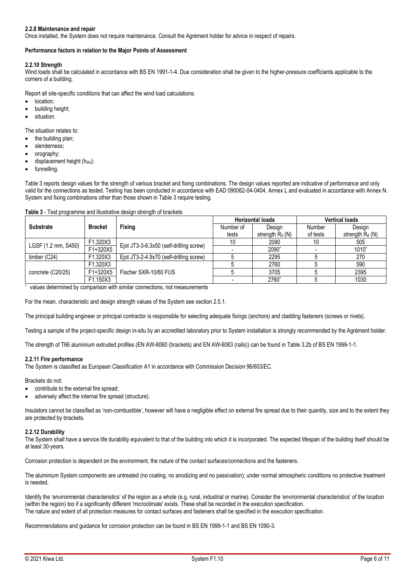## **2.2.8 Maintenance and repair**

Once installed, the System does not require maintenance. Consult the Agrément holder for advice in respect of repairs.

#### **Performance factors in relation to the Major Points of Assessment**

#### **2.2.10 Strength**

Wind loads shall be calculated in accordance with BS EN 1991-1-4. Due consideration shall be given to the higher-pressure coefficients applicable to the corners of a building.

Report all site-specific conditions that can affect the wind load calculations:

- location;
- building height;
- situation.

The situation relates to:

- the building plan;
- slenderness;
- orography;
- displacement height (hdis);
- funnelling.

Table 3 reports design values for the strength of various bracket and fixing combinations. The design values reported are indicative of performance and only valid for the connections as tested. Testing has been conducted in accordance with EAD 090062-04-0404, Annex L and evaluated in accordance with Annex N. System and fixing combinations other than those shown in Table 3 require testing.

#### **Table 3** - Test programme and illustrative design strength of brackets

|                     |                | <b>Fixing</b>                           | <b>Horizontal loads</b> |                    | <b>Vertical loads</b> |                    |
|---------------------|----------------|-----------------------------------------|-------------------------|--------------------|-----------------------|--------------------|
| <b>Substrate</b>    | <b>Bracket</b> |                                         | Number of               | Design             | Number                | Design             |
|                     |                |                                         | tests                   | strength $R_d$ (N) | of tests              | strength $R_d$ (N) |
| LGSF (1.2 mm, S450) | F1.320X3       |                                         |                         | 2090               | 10                    | 505                |
|                     | F1+320X5       | Ejot JT3-3-6.3x50 (self-drilling screw) |                         | 2090^              |                       | 1010               |
| timber $(C24)$      | F1.320X3       | Ejot JT3-2-4.9x70 (self-drilling screw) |                         | 2295               |                       | 270                |
|                     | F1.320X3       |                                         |                         | 2760               |                       | 590                |
| concrete (C20/25)   | F1+320X5       | Fischer SXR-10/60 FUS                   |                         | 3705               |                       | 2395               |
|                     | F1.150X3       |                                         |                         | 2760               |                       | 1030               |

values determined by comparison with similar connections, not measurements

For the mean, characteristic and design strength values of the System see section 2.5.1.

The principal building engineer or principal contractor is responsible for selecting adequate fixings (anchors) and cladding fasteners (screws or rivets).

Testing a sample of the project-specific design in-situ by an accredited laboratory prior to System installation is strongly recommended by the Agrément holder.

The strength of T66 aluminium extruded profiles (EN AW-6060 (brackets) and EN AW-6063 (rails)) can be found in Table 3.2b of BS EN 1999-1-1.

#### **2.2.11 Fire performance**

The System is classified as European Classification A1 in accordance with Commission Decision 96/603/EC.

Brackets do not:

- contribute to the external fire spread;
- adversely affect the internal fire spread (structure).

Insulators cannot be classified as 'non-combustible', however will have a negligible effect on external fire spread due to their quantity, size and to the extent they are protected by brackets.

### **2.2.12 Durability**

The System shall have a service life durability equivalent to that of the building into which it is incorporated. The expected lifespan of the building itself should be at least 30-years.

Corrosion protection is dependent on the environment, the nature of the contact surfaces/connections and the fasteners.

The aluminium System components are untreated (no coating, no anodizing and no passivation); under normal atmospheric conditions no protective treatment is needed.

Identify the 'environmental characteristics' of the region as a whole (e.g. rural, industrial or marine). Consider the 'environmental characteristics' of the location (within the region) too if a significantly different 'microclimate' exists. These shall be recorded in the execution specification. The nature and extent of all protection measures for contact surfaces and fasteners shall be specified in the execution specification.

Recommendations and guidance for corrosion protection can be found in BS EN 1999-1-1 and BS EN 1090-3.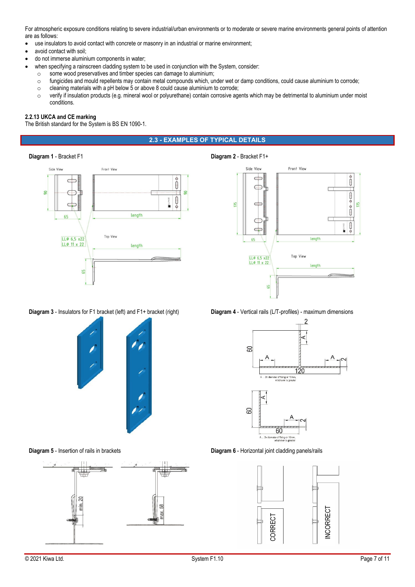For atmospheric exposure conditions relating to severe industrial/urban environments or to moderate or severe marine environments general points of attention are as follows:

- use insulators to avoid contact with concrete or masonry in an industrial or marine environment;
- avoid contact with soil;
- do not immerse aluminium components in water;
	- when specifying a rainscreen cladding system to be used in conjunction with the System, consider:
	- o some wood preservatives and timber species can damage to aluminium;
	- o fungicides and mould repellents may contain metal compounds which, under wet or damp conditions, could cause aluminium to corrode;
	- o cleaning materials with a pH below 5 or above 8 could cause aluminium to corrode;
	- o verify if insulation products (e.g. mineral wool or polyurethane) contain corrosive agents which may be detrimental to aluminium under moist conditions.

#### **2.2.13 UKCA and CE marking**

The British standard for the System is BS EN 1090-1.

## **2.3 - EXAMPLES OF TYPICAL DETAILS**

#### **Diagram 1** - Bracket F1 **Diagram 2** - Bracket F1+





**Diagram 3** - Insulators for F1 bracket (left) and F1+ bracket (right) **Diagram 4** - Vertical rails (L/T-profiles) - maximum dimensions











**Diagram 5** - Insertion of rails in brackets **Diagram 6** - Horizontal joint cladding panels/rails

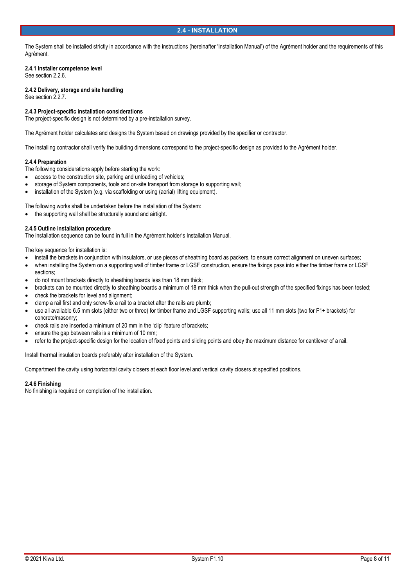The System shall be installed strictly in accordance with the instructions (hereinafter 'Installation Manual') of the Agrément holder and the requirements of this Agrément.

#### **2.4.1 Installer competence level**

See section 2.2.6.

**2.4.2 Delivery, storage and site handling**  See section 2.2.7.

### **2.4.3 Project-specific installation considerations**

The project-specific design is not determined by a pre-installation survey.

The Agrément holder calculates and designs the System based on drawings provided by the specifier or contractor.

The installing contractor shall verify the building dimensions correspond to the project-specific design as provided to the Agrément holder.

#### **2.4.4 Preparation**

The following considerations apply before starting the work:

- access to the construction site, parking and unloading of vehicles;
- storage of System components, tools and on-site transport from storage to supporting wall;
- installation of the System (e.g. via scaffolding or using (aerial) lifting equipment).

The following works shall be undertaken before the installation of the System:

• the supporting wall shall be structurally sound and airtight.

#### **2.4.5 Outline installation procedure**

The installation sequence can be found in full in the Agrément holder's Installation Manual.

The key sequence for installation is:

- install the brackets in conjunction with insulators, or use pieces of sheathing board as packers, to ensure correct alignment on uneven surfaces;
- when installing the System on a supporting wall of timber frame or LGSF construction, ensure the fixings pass into either the timber frame or LGSF sections;
- do not mount brackets directly to sheathing boards less than 18 mm thick;
- brackets can be mounted directly to sheathing boards a minimum of 18 mm thick when the pull-out strength of the specified fixings has been tested;
- check the brackets for level and alignment;
- clamp a rail first and only screw-fix a rail to a bracket after the rails are plumb;
- use all available 6.5 mm slots (either two or three) for timber frame and LGSF supporting walls; use all 11 mm slots (two for F1+ brackets) for concrete/masonry;
- check rails are inserted a minimum of 20 mm in the 'clip' feature of brackets;
- ensure the gap between rails is a minimum of 10 mm;
- refer to the project-specific design for the location of fixed points and sliding points and obey the maximum distance for cantilever of a rail.

Install thermal insulation boards preferably after installation of the System.

Compartment the cavity using horizontal cavity closers at each floor level and vertical cavity closers at specified positions.

#### **2.4.6 Finishing**

No finishing is required on completion of the installation.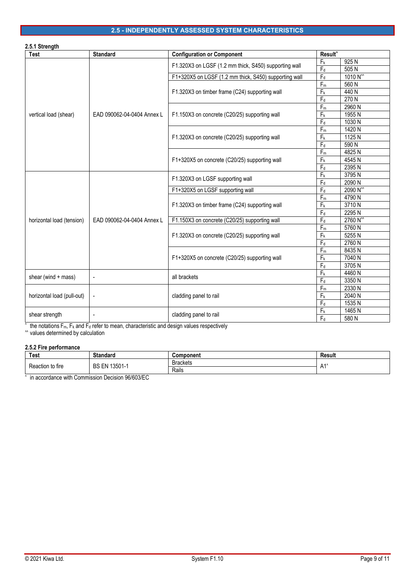## **2.5 - INDEPENDENTLY ASSESSED SYSTEM CHARACTERISTICS**

| 2.5.1 Strength             |                            |                                                       |                           |                      |  |
|----------------------------|----------------------------|-------------------------------------------------------|---------------------------|----------------------|--|
| <b>Test</b>                | <b>Standard</b>            | <b>Configuration or Component</b>                     | Result <sup>^</sup>       |                      |  |
|                            |                            | F1.320X3 on LGSF (1.2 mm thick, S450) supporting wall | F <sub>k</sub>            | 925N                 |  |
|                            |                            |                                                       | $\mathsf{F}_{\sf d}$      | 505N                 |  |
|                            |                            | F1+320X5 on LGSF (1.2 mm thick, S450) supporting wall | $F_d$                     | 1010 N <sup>**</sup> |  |
|                            |                            |                                                       | $F_m$                     | 560N                 |  |
|                            |                            | F1.320X3 on timber frame (C24) supporting wall        | F <sub>k</sub>            | 440 N                |  |
|                            |                            |                                                       | $F_d$                     | 270 N                |  |
|                            |                            |                                                       | $F_m$                     | 2960 N               |  |
| vertical load (shear)      | EAD 090062-04-0404 Annex L | F1.150X3 on concrete (C20/25) supporting wall         | Fk                        | 1955N                |  |
|                            |                            |                                                       | $F_d$                     | 1030 N               |  |
|                            |                            |                                                       | $F_m$                     | 1420 N               |  |
|                            |                            | F1.320X3 on concrete (C20/25) supporting wall         | F <sub>k</sub>            | 1125N                |  |
|                            |                            |                                                       | $F_d$                     | 590 N                |  |
|                            |                            |                                                       | $F_m$                     | 4825N                |  |
|                            |                            | F1+320X5 on concrete (C20/25) supporting wall         | F <sub>k</sub>            | 4545N                |  |
|                            |                            |                                                       | $F_d$                     | 2395N                |  |
|                            | EAD 090062-04-0404 Annex L | F1.320X3 on LGSF supporting wall                      | $\mathsf{F}_{\mathsf{k}}$ | 3795N                |  |
|                            |                            |                                                       | $F_d$                     | 2090 N               |  |
|                            |                            | F1+320X5 on LGSF supporting wall                      | $F_d$                     | 2090 N <sup>^^</sup> |  |
|                            |                            |                                                       | $F_m$                     | 4790N                |  |
|                            |                            | F1.320X3 on timber frame (C24) supporting wall        | F <sub>k</sub>            | 3710N<br>2295N       |  |
| horizontal load (tension)  |                            | F1.150X3 on concrete (C20/25) supporting wall         | $F_d$<br>$F_d$            | 2760 N <sup>**</sup> |  |
|                            |                            |                                                       | $F_m$                     | 5760N                |  |
|                            |                            | F1.320X3 on concrete (C20/25) supporting wall         | F <sub>k</sub>            | 5255N                |  |
|                            |                            |                                                       | $F_d$                     | 2760 N               |  |
|                            |                            |                                                       | $F_m$                     | 8435N                |  |
|                            |                            | F1+320X5 on concrete (C20/25) supporting wall         | $F_k$                     | 7040 N               |  |
|                            |                            |                                                       | $F_d$                     | 3705N                |  |
|                            |                            |                                                       | $F_k$                     | 4460N                |  |
| shear (wind + mass)        | $\overline{a}$             | all brackets                                          | $F_d$                     | 3350 N               |  |
|                            |                            |                                                       | $F_m$                     | 2330 N               |  |
| horizontal load (pull-out) | ÷,                         | cladding panel to rail                                | F <sub>k</sub>            | 2040 N               |  |
|                            |                            |                                                       | $F_d$                     | 1535N                |  |
|                            |                            |                                                       | F <sub>k</sub>            | 1465N                |  |
| shear strength             |                            | cladding panel to rail                                | $F_d$                     | 580 N                |  |

 $\degree$  the notations F<sub>m</sub>, F<sub>k</sub> and F<sub>d</sub> refer to mean, characteristic and design values respectively

^^ values determined by calculation

## **2.5.2 Fire performance**

| Test             | <b>Standard</b>           | <b>Component</b>       | Result                 |
|------------------|---------------------------|------------------------|------------------------|
| Reaction to fire | 13501<br>BS<br>FN<br>ັບບບ | <b>Brackets</b>        | $\Lambda$ <sup>1</sup> |
|                  |                           | Rails<br>$\sim$ $\sim$ | $\mathsf{u}$           |

^ in accordance with Commission Decision 96/603/EC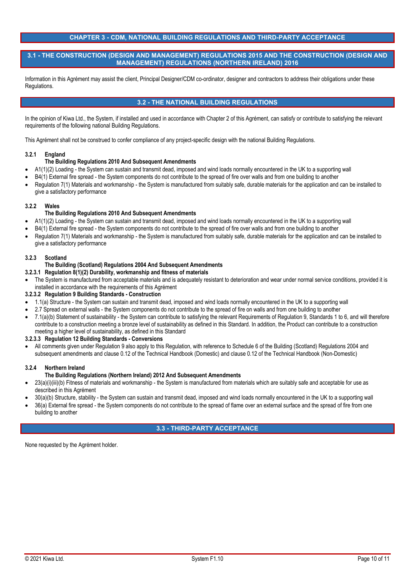## **CHAPTER 3 - CDM, NATIONAL BUILDING REGULATIONS AND THIRD-PARTY ACCEPTANCE**

### **3.1 - THE CONSTRUCTION (DESIGN AND MANAGEMENT) REGULATIONS 2015 AND THE CONSTRUCTION (DESIGN AND MANAGEMENT) REGULATIONS (NORTHERN IRELAND) 2016**

Information in this Agrément may assist the client, Principal Designer/CDM co-ordinator, designer and contractors to address their obligations under these Regulations.

## **3.2 - THE NATIONAL BUILDING REGULATIONS**

In the opinion of Kiwa Ltd., the System, if installed and used in accordance with Chapter 2 of this Agrément, can satisfy or contribute to satisfying the relevant requirements of the following national Building Regulations.

This Agrément shall not be construed to confer compliance of any project-specific design with the national Building Regulations.

### **3.2.1 England**

### **The Building Regulations 2010 And Subsequent Amendments**

- A1(1)(2) Loading the System can sustain and transmit dead, imposed and wind loads normally encountered in the UK to a supporting wall
- B4(1) External fire spread the System components do not contribute to the spread of fire over walls and from one building to another
- Regulation 7(1) Materials and workmanship the System is manufactured from suitably safe, durable materials for the application and can be installed to give a satisfactory performance

### **3.2.2 Wales**

### **The Building Regulations 2010 And Subsequent Amendments**

- A1(1)(2) Loading the System can sustain and transmit dead, imposed and wind loads normally encountered in the UK to a supporting wall
- B4(1) External fire spread the System components do not contribute to the spread of fire over walls and from one building to another
- Regulation 7(1) Materials and workmanship the System is manufactured from suitably safe, durable materials for the application and can be installed to give a satisfactory performance

#### **3.2.3 Scotland**

### **The Building (Scotland) Regulations 2004 And Subsequent Amendments**

## **3.2.3.1 Regulation 8(1)(2) Durability, workmanship and fitness of materials**

 The System is manufactured from acceptable materials and is adequately resistant to deterioration and wear under normal service conditions, provided it is installed in accordance with the requirements of this Agrément

### **3.2.3.2 Regulation 9 Building Standards - Construction**

- 1.1(a) Structure the System can sustain and transmit dead, imposed and wind loads normally encountered in the UK to a supporting wall
- 2.7 Spread on external walls the System components do not contribute to the spread of fire on walls and from one building to another
- 7.1(a)(b) Statement of sustainability the System can contribute to satisfying the relevant Requirements of Regulation 9, Standards 1 to 6, and will therefore contribute to a construction meeting a bronze level of sustainability as defined in this Standard. In addition, the Product can contribute to a construction meeting a higher level of sustainability, as defined in this Standard

#### **3.2.3.3 Regulation 12 Building Standards - Conversions**

 All comments given under Regulation 9 also apply to this Regulation, with reference to Schedule 6 of the Building (Scotland) Regulations 2004 and subsequent amendments and clause 0.12 of the Technical Handbook (Domestic) and clause 0.12 of the Technical Handbook (Non-Domestic)

### **3.2.4 Northern Ireland**

### **The Building Regulations (Northern Ireland) 2012 And Subsequent Amendments**

- 23(a)(i)(iii)(b) Fitness of materials and workmanship the System is manufactured from materials which are suitably safe and acceptable for use as described in this Agrément
- 30(a)(b) Structure, stability the System can sustain and transmit dead, imposed and wind loads normally encountered in the UK to a supporting wall
- 36(a) External fire spread the System components do not contribute to the spread of flame over an external surface and the spread of fire from one building to another

### **3.3 - THIRD-PARTY ACCEPTANCE**

None requested by the Agrément holder.